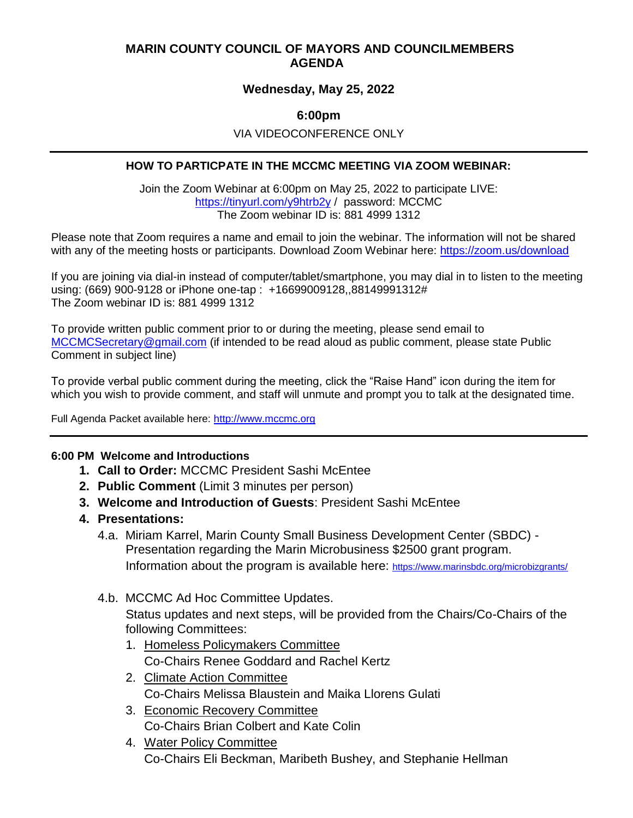## **MARIN COUNTY COUNCIL OF MAYORS AND COUNCILMEMBERS AGENDA**

## **Wednesday, May 25, 2022**

## **6:00pm**

#### VIA VIDEOCONFERENCE ONLY

### **HOW TO PARTICPATE IN THE MCCMC MEETING VIA ZOOM WEBINAR:**

Join the Zoom Webinar at 6:00pm on May 25, 2022 to participate LIVE: <https://tinyurl.com/y9htrb2y> / password: MCCMC The Zoom webinar ID is: 881 4999 1312

Please note that Zoom requires a name and email to join the webinar. The information will not be shared with any of the meeting hosts or participants. Download Zoom Webinar here:<https://zoom.us/download>

If you are joining via dial-in instead of computer/tablet/smartphone, you may dial in to listen to the meeting using: (669) 900-9128 or iPhone one-tap : +16699009128,,88149991312# The Zoom webinar ID is: 881 4999 1312

To provide written public comment prior to or during the meeting, please send email to [MCCMCSecretary@gmail.com](mailto:MCCMCSecretary@gmail.com) (if intended to be read aloud as public comment, please state Public Comment in subject line)

To provide verbal public comment during the meeting, click the "Raise Hand" icon during the item for which you wish to provide comment, and staff will unmute and prompt you to talk at the designated time.

Full Agenda Packet available here: [http://www.mccmc.org](http://www.mccmc.org/)

#### **6:00 PM Welcome and Introductions**

- **1. Call to Order:** MCCMC President Sashi McEntee
- **2. Public Comment** (Limit 3 minutes per person)
- **3. Welcome and Introduction of Guests**: President Sashi McEntee
- **4. Presentations:**
	- 4.a. Miriam Karrel, Marin County Small Business Development Center (SBDC) Presentation regarding the Marin Microbusiness \$2500 grant program. Information about the program is available here: <https://www.marinsbdc.org/microbizgrants/>
	- 4.b. MCCMC Ad Hoc Committee Updates.

Status updates and next steps, will be provided from the Chairs/Co-Chairs of the following Committees:

- 1. Homeless Policymakers Committee Co-Chairs Renee Goddard and Rachel Kertz
- 2. Climate Action Committee Co-Chairs Melissa Blaustein and Maika Llorens Gulati
- 3. Economic Recovery Committee Co-Chairs Brian Colbert and Kate Colin
- 4. Water Policy Committee Co-Chairs Eli Beckman, Maribeth Bushey, and Stephanie Hellman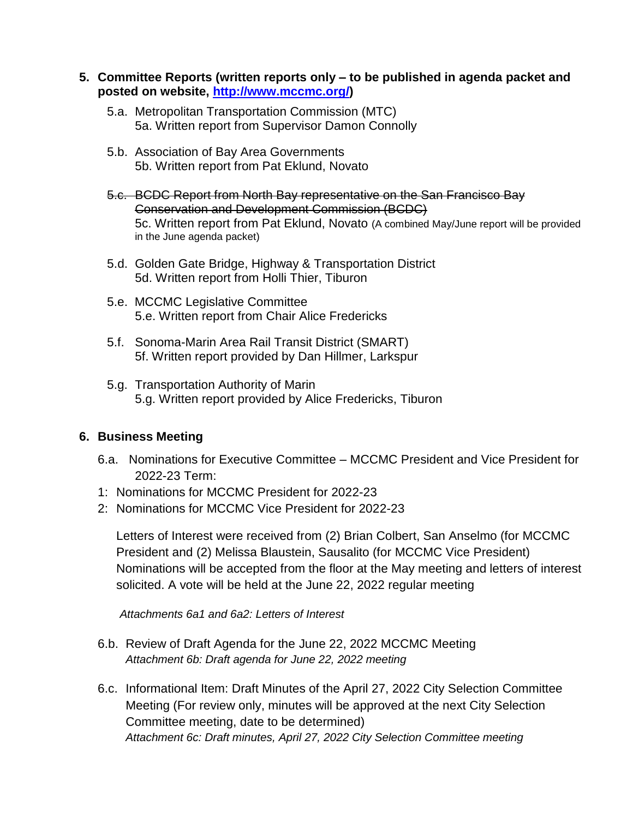- **5. Committee Reports (written reports only – to be published in agenda packet and posted on website, [http://www.mccmc.org/\)](http://www.mccmc.org/)**
	- 5.a. Metropolitan Transportation Commission (MTC) 5a. Written report from Supervisor Damon Connolly
	- 5.b. Association of Bay Area Governments 5b. Written report from Pat Eklund, Novato
	- 5.c. BCDC Report from North Bay representative on the San Francisco Bay Conservation and Development Commission (BCDC) 5c. Written report from Pat Eklund, Novato (A combined May/June report will be provided in the June agenda packet)
	- 5.d. Golden Gate Bridge, Highway & Transportation District 5d. Written report from Holli Thier, Tiburon
	- 5.e. MCCMC Legislative Committee 5.e. Written report from Chair Alice Fredericks
	- 5.f. Sonoma-Marin Area Rail Transit District (SMART) 5f. Written report provided by Dan Hillmer, Larkspur
	- 5.g. Transportation Authority of Marin 5.g. Written report provided by Alice Fredericks, Tiburon

## **6. Business Meeting**

- 6.a. Nominations for Executive Committee MCCMC President and Vice President for 2022-23 Term:
- 1: Nominations for MCCMC President for 2022-23
- 2: Nominations for MCCMC Vice President for 2022-23

Letters of Interest were received from (2) Brian Colbert, San Anselmo (for MCCMC President and (2) Melissa Blaustein, Sausalito (for MCCMC Vice President) Nominations will be accepted from the floor at the May meeting and letters of interest solicited. A vote will be held at the June 22, 2022 regular meeting

 *Attachments 6a1 and 6a2: Letters of Interest*

- 6.b. Review of Draft Agenda for the June 22, 2022 MCCMC Meeting *Attachment 6b: Draft agenda for June 22, 2022 meeting*
- 6.c. Informational Item: Draft Minutes of the April 27, 2022 City Selection Committee Meeting (For review only, minutes will be approved at the next City Selection Committee meeting, date to be determined) *Attachment 6c: Draft minutes, April 27, 2022 City Selection Committee meeting*